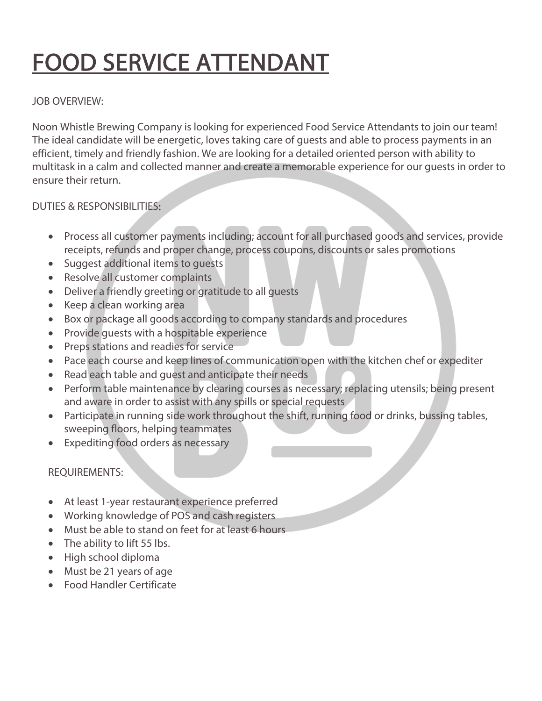# FOOD SERVICE ATTENDANT

## JOB OVERVIEW:

Noon Whistle Brewing Company is looking for experienced Food Service Attendants to join our team! The ideal candidate will be energetic, loves taking care of guests and able to process payments in an efficient, timely and friendly fashion. We are looking for a detailed oriented person with ability to multitask in a calm and collected manner and create a memorable experience for our guests in order to ensure their return.

# DUTIES & RESPONSIBILITIES:

- Process all customer payments including; account for all purchased goods and services, provide receipts, refunds and proper change, process coupons, discounts or sales promotions
- Suggest additional items to guests
- Resolve all customer complaints
- Deliver a friendly greeting or gratitude to all guests
- Keep a clean working area
- Box or package all goods according to company standards and procedures
- Provide guests with a hospitable experience
- Preps stations and readies for service
- Pace each course and keep lines of communication open with the kitchen chef or expediter
- Read each table and guest and anticipate their needs
- Perform table maintenance by clearing courses as necessary; replacing utensils; being present and aware in order to assist with any spills or special requests
- Participate in running side work throughout the shift, running food or drinks, bussing tables, sweeping floors, helping teammates
- Expediting food orders as necessary

#### REQUIREMENTS:

- At least 1-year restaurant experience preferred
- Working knowledge of POS and cash registers
- Must be able to stand on feet for at least 6 hours
- The ability to lift 55 lbs.
- High school diploma
- Must be 21 years of age
- Food Handler Certificate